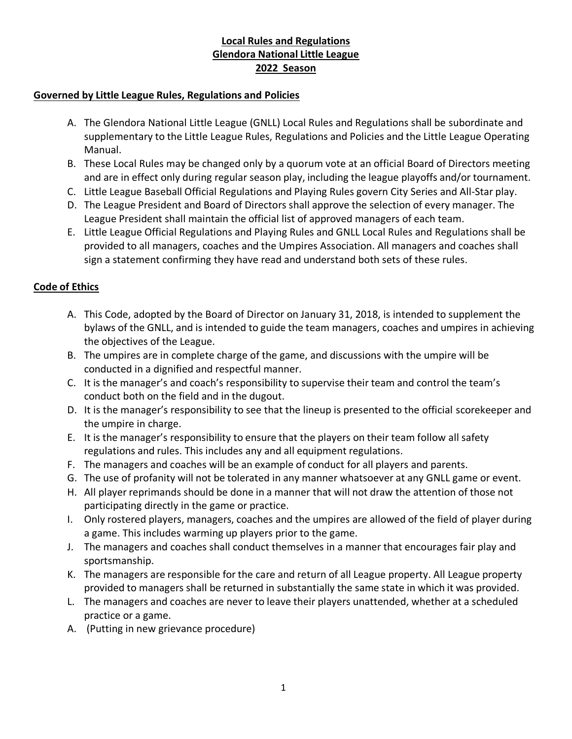## **Local Rules and Regulations Glendora National Little League 2022 Season**

#### **Governed by Little League Rules, Regulations and Policies**

- A. The Glendora National Little League (GNLL) Local Rules and Regulations shall be subordinate and supplementary to the Little League Rules, Regulations and Policies and the Little League Operating Manual.
- B. These Local Rules may be changed only by a quorum vote at an official Board of Directors meeting and are in effect only during regular season play, including the league playoffs and/or tournament.
- C. Little League Baseball Official Regulations and Playing Rules govern City Series and All-Star play.
- D. The League President and Board of Directors shall approve the selection of every manager. The League President shall maintain the official list of approved managers of each team.
- E. Little League Official Regulations and Playing Rules and GNLL Local Rules and Regulations shall be provided to all managers, coaches and the Umpires Association. All managers and coaches shall sign a statement confirming they have read and understand both sets of these rules.

#### **Code of Ethics**

- A. This Code, adopted by the Board of Director on January 31, 2018, is intended to supplement the bylaws of the GNLL, and is intended to guide the team managers, coaches and umpires in achieving the objectives of the League.
- B. The umpires are in complete charge of the game, and discussions with the umpire will be conducted in a dignified and respectful manner.
- C. It is the manager's and coach's responsibility to supervise their team and control the team's conduct both on the field and in the dugout.
- D. It is the manager's responsibility to see that the lineup is presented to the official scorekeeper and the umpire in charge.
- E. It is the manager's responsibility to ensure that the players on their team follow all safety regulations and rules. This includes any and all equipment regulations.
- F. The managers and coaches will be an example of conduct for all players and parents.
- G. The use of profanity will not be tolerated in any manner whatsoever at any GNLL game or event.
- H. All player reprimands should be done in a manner that will not draw the attention of those not participating directly in the game or practice.
- I. Only rostered players, managers, coaches and the umpires are allowed of the field of player during a game. This includes warming up players prior to the game.
- J. The managers and coaches shall conduct themselves in a manner that encourages fair play and sportsmanship.
- K. The managers are responsible for the care and return of all League property. All League property provided to managers shall be returned in substantially the same state in which it was provided.
- L. The managers and coaches are never to leave their players unattended, whether at a scheduled practice or a game.
- A. (Putting in new grievance procedure)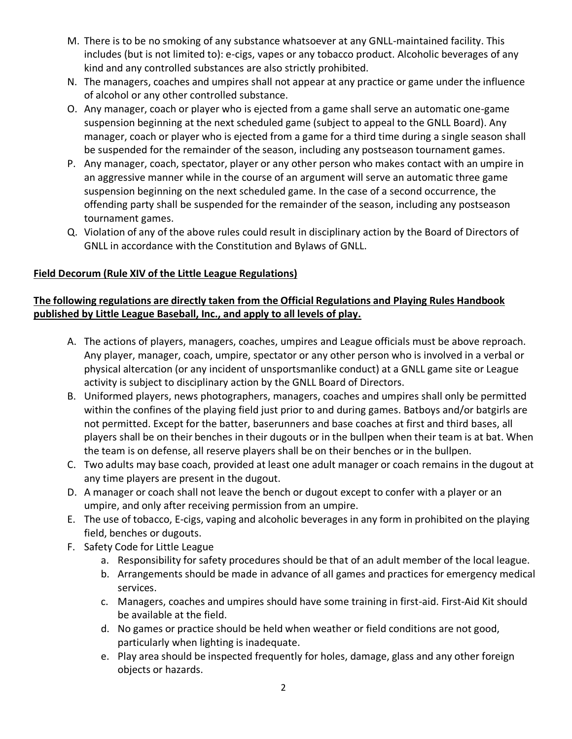- M. There is to be no smoking of any substance whatsoever at any GNLL-maintained facility. This includes (but is not limited to): e-cigs, vapes or any tobacco product. Alcoholic beverages of any kind and any controlled substances are also strictly prohibited.
- N. The managers, coaches and umpires shall not appear at any practice or game under the influence of alcohol or any other controlled substance.
- O. Any manager, coach or player who is ejected from a game shall serve an automatic one-game suspension beginning at the next scheduled game (subject to appeal to the GNLL Board). Any manager, coach or player who is ejected from a game for a third time during a single season shall be suspended for the remainder of the season, including any postseason tournament games.
- P. Any manager, coach, spectator, player or any other person who makes contact with an umpire in an aggressive manner while in the course of an argument will serve an automatic three game suspension beginning on the next scheduled game. In the case of a second occurrence, the offending party shall be suspended for the remainder of the season, including any postseason tournament games.
- Q. Violation of any of the above rules could result in disciplinary action by the Board of Directors of GNLL in accordance with the Constitution and Bylaws of GNLL.

## **Field Decorum (Rule XIV of the Little League Regulations)**

### **The following regulations are directly taken from the Official Regulations and Playing Rules Handbook published by Little League Baseball, Inc., and apply to all levels of play.**

- A. The actions of players, managers, coaches, umpires and League officials must be above reproach. Any player, manager, coach, umpire, spectator or any other person who is involved in a verbal or physical altercation (or any incident of unsportsmanlike conduct) at a GNLL game site or League activity is subject to disciplinary action by the GNLL Board of Directors.
- B. Uniformed players, news photographers, managers, coaches and umpires shall only be permitted within the confines of the playing field just prior to and during games. Batboys and/or batgirls are not permitted. Except for the batter, baserunners and base coaches at first and third bases, all players shall be on their benches in their dugouts or in the bullpen when their team is at bat. When the team is on defense, all reserve players shall be on their benches or in the bullpen.
- C. Two adults may base coach, provided at least one adult manager or coach remains in the dugout at any time players are present in the dugout.
- D. A manager or coach shall not leave the bench or dugout except to confer with a player or an umpire, and only after receiving permission from an umpire.
- E. The use of tobacco, E-cigs, vaping and alcoholic beverages in any form in prohibited on the playing field, benches or dugouts.
- F. Safety Code for Little League
	- a. Responsibility for safety procedures should be that of an adult member of the local league.
	- b. Arrangements should be made in advance of all games and practices for emergency medical services.
	- c. Managers, coaches and umpires should have some training in first-aid. First-Aid Kit should be available at the field.
	- d. No games or practice should be held when weather or field conditions are not good, particularly when lighting is inadequate.
	- e. Play area should be inspected frequently for holes, damage, glass and any other foreign objects or hazards.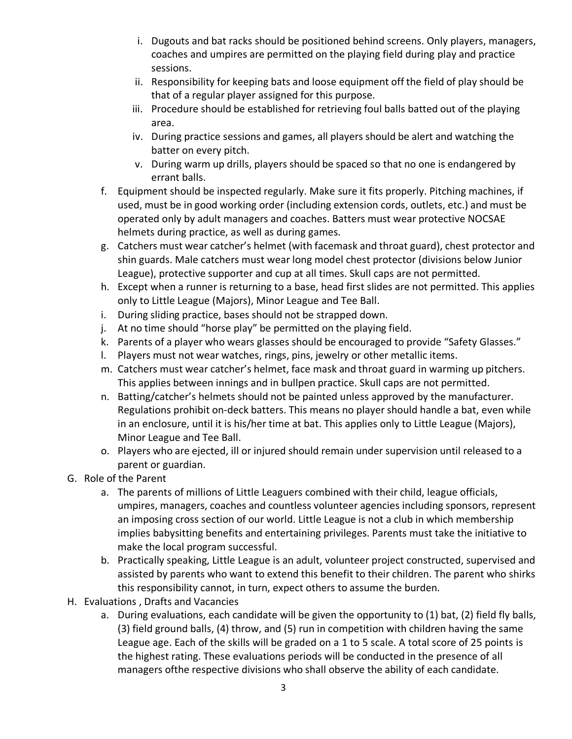- i. Dugouts and bat racks should be positioned behind screens. Only players, managers, coaches and umpires are permitted on the playing field during play and practice sessions.
- ii. Responsibility for keeping bats and loose equipment off the field of play should be that of a regular player assigned for this purpose.
- iii. Procedure should be established for retrieving foul balls batted out of the playing area.
- iv. During practice sessions and games, all players should be alert and watching the batter on every pitch.
- v. During warm up drills, players should be spaced so that no one is endangered by errant balls.
- f. Equipment should be inspected regularly. Make sure it fits properly. Pitching machines, if used, must be in good working order (including extension cords, outlets, etc.) and must be operated only by adult managers and coaches. Batters must wear protective NOCSAE helmets during practice, as well as during games.
- g. Catchers must wear catcher's helmet (with facemask and throat guard), chest protector and shin guards. Male catchers must wear long model chest protector (divisions below Junior League), protective supporter and cup at all times. Skull caps are not permitted.
- h. Except when a runner is returning to a base, head first slides are not permitted. This applies only to Little League (Majors), Minor League and Tee Ball.
- i. During sliding practice, bases should not be strapped down.
- j. At no time should "horse play" be permitted on the playing field.
- k. Parents of a player who wears glasses should be encouraged to provide "Safety Glasses."
- l. Players must not wear watches, rings, pins, jewelry or other metallic items.
- m. Catchers must wear catcher's helmet, face mask and throat guard in warming up pitchers. This applies between innings and in bullpen practice. Skull caps are not permitted.
- n. Batting/catcher's helmets should not be painted unless approved by the manufacturer. Regulations prohibit on-deck batters. This means no player should handle a bat, even while in an enclosure, until it is his/her time at bat. This applies only to Little League (Majors), Minor League and Tee Ball.
- o. Players who are ejected, ill or injured should remain under supervision until released to a parent or guardian.
- G. Role of the Parent
	- a. The parents of millions of Little Leaguers combined with their child, league officials, umpires, managers, coaches and countless volunteer agencies including sponsors, represent an imposing cross section of our world. Little League is not a club in which membership implies babysitting benefits and entertaining privileges. Parents must take the initiative to make the local program successful.
	- b. Practically speaking, Little League is an adult, volunteer project constructed, supervised and assisted by parents who want to extend this benefit to their children. The parent who shirks this responsibility cannot, in turn, expect others to assume the burden.
- H. Evaluations , Drafts and Vacancies
	- a. During evaluations, each candidate will be given the opportunity to (1) bat, (2) field fly balls, (3) field ground balls, (4) throw, and (5) run in competition with children having the same League age. Each of the skills will be graded on a 1 to 5 scale. A total score of 25 points is the highest rating. These evaluations periods will be conducted in the presence of all managers ofthe respective divisions who shall observe the ability of each candidate.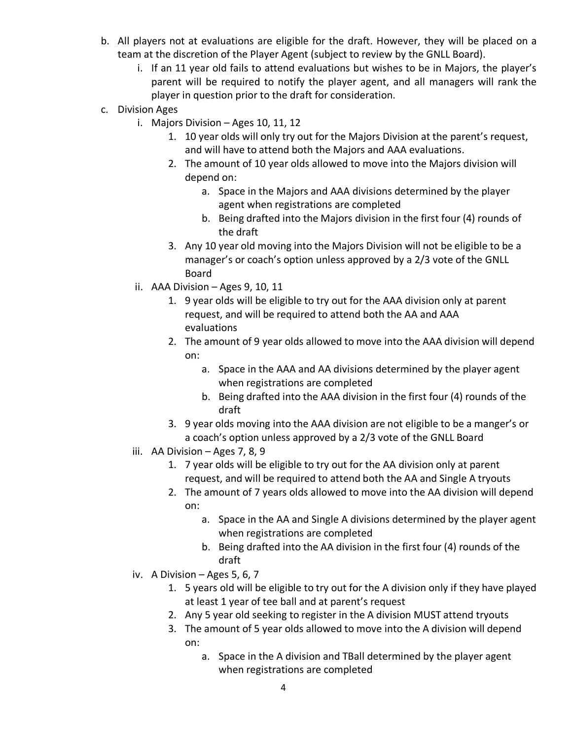- b. All players not at evaluations are eligible for the draft. However, they will be placed on a team at the discretion of the Player Agent (subject to review by the GNLL Board).
	- i. If an 11 year old fails to attend evaluations but wishes to be in Majors, the player's parent will be required to notify the player agent, and all managers will rank the player in question prior to the draft for consideration.
- c. Division Ages
	- i. Majors Division Ages 10, 11, 12
		- 1. 10 year olds will only try out for the Majors Division at the parent's request, and will have to attend both the Majors and AAA evaluations.
		- 2. The amount of 10 year olds allowed to move into the Majors division will depend on:
			- a. Space in the Majors and AAA divisions determined by the player agent when registrations are completed
			- b. Being drafted into the Majors division in the first four (4) rounds of the draft
		- 3. Any 10 year old moving into the Majors Division will not be eligible to be a manager's or coach's option unless approved by a 2/3 vote of the GNLL Board
	- ii. AAA Division  $-$  Ages 9, 10, 11
		- 1. 9 year olds will be eligible to try out for the AAA division only at parent request, and will be required to attend both the AA and AAA evaluations
		- 2. The amount of 9 year olds allowed to move into the AAA division will depend on:
			- a. Space in the AAA and AA divisions determined by the player agent when registrations are completed
			- b. Being drafted into the AAA division in the first four (4) rounds of the draft
		- 3. 9 year olds moving into the AAA division are not eligible to be a manger's or a coach's option unless approved by a 2/3 vote of the GNLL Board
	- iii. AA Division Ages 7, 8, 9
		- 1. 7 year olds will be eligible to try out for the AA division only at parent request, and will be required to attend both the AA and Single A tryouts
		- 2. The amount of 7 years olds allowed to move into the AA division will depend on:
			- a. Space in the AA and Single A divisions determined by the player agent when registrations are completed
			- b. Being drafted into the AA division in the first four (4) rounds of the draft
	- iv. A Division Ages 5, 6, 7
		- 1. 5 years old will be eligible to try out for the A division only if they have played at least 1 year of tee ball and at parent's request
		- 2. Any 5 year old seeking to register in the A division MUST attend tryouts
		- 3. The amount of 5 year olds allowed to move into the A division will depend on:
			- a. Space in the A division and TBall determined by the player agent when registrations are completed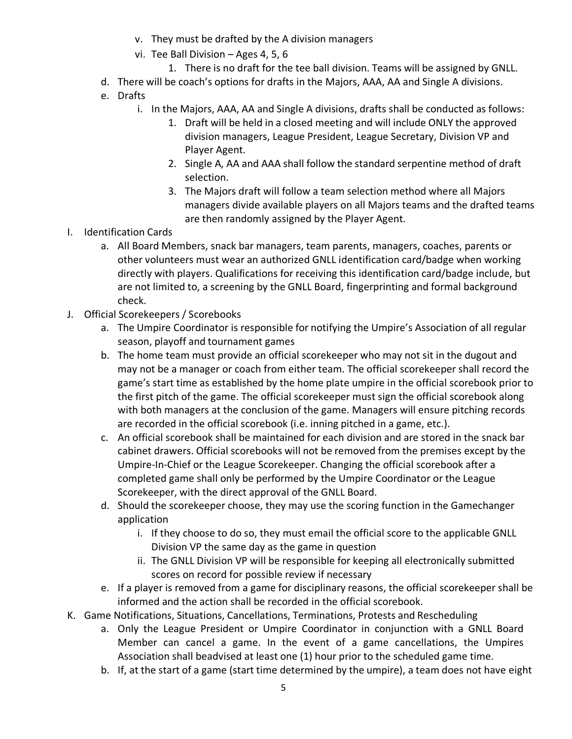- v. They must be drafted by the A division managers
- vi. Tee Ball Division Ages 4, 5, 6
	- 1. There is no draft for the tee ball division. Teams will be assigned by GNLL.
- d. There will be coach's options for drafts in the Majors, AAA, AA and Single A divisions.
- e. Drafts
	- i. In the Majors, AAA, AA and Single A divisions, drafts shall be conducted as follows:
		- 1. Draft will be held in a closed meeting and will include ONLY the approved division managers, League President, League Secretary, Division VP and Player Agent.
		- 2. Single A, AA and AAA shall follow the standard serpentine method of draft selection.
		- 3. The Majors draft will follow a team selection method where all Majors managers divide available players on all Majors teams and the drafted teams are then randomly assigned by the Player Agent.
- I. Identification Cards
	- a. All Board Members, snack bar managers, team parents, managers, coaches, parents or other volunteers must wear an authorized GNLL identification card/badge when working directly with players. Qualifications for receiving this identification card/badge include, but are not limited to, a screening by the GNLL Board, fingerprinting and formal background check.
- J. Official Scorekeepers / Scorebooks
	- a. The Umpire Coordinator is responsible for notifying the Umpire's Association of all regular season, playoff and tournament games
	- b. The home team must provide an official scorekeeper who may not sit in the dugout and may not be a manager or coach from either team. The official scorekeeper shall record the game's start time as established by the home plate umpire in the official scorebook prior to the first pitch of the game. The official scorekeeper must sign the official scorebook along with both managers at the conclusion of the game. Managers will ensure pitching records are recorded in the official scorebook (i.e. inning pitched in a game, etc.).
	- c. An official scorebook shall be maintained for each division and are stored in the snack bar cabinet drawers. Official scorebooks will not be removed from the premises except by the Umpire-In-Chief or the League Scorekeeper. Changing the official scorebook after a completed game shall only be performed by the Umpire Coordinator or the League Scorekeeper, with the direct approval of the GNLL Board.
	- d. Should the scorekeeper choose, they may use the scoring function in the Gamechanger application
		- i. If they choose to do so, they must email the official score to the applicable GNLL Division VP the same day as the game in question
		- ii. The GNLL Division VP will be responsible for keeping all electronically submitted scores on record for possible review if necessary
	- e. If a player is removed from a game for disciplinary reasons, the official scorekeeper shall be informed and the action shall be recorded in the official scorebook.
- K. Game Notifications, Situations, Cancellations, Terminations, Protests and Rescheduling
	- a. Only the League President or Umpire Coordinator in conjunction with a GNLL Board Member can cancel a game. In the event of a game cancellations, the Umpires Association shall beadvised at least one (1) hour prior to the scheduled game time.
	- b. If, at the start of a game (start time determined by the umpire), a team does not have eight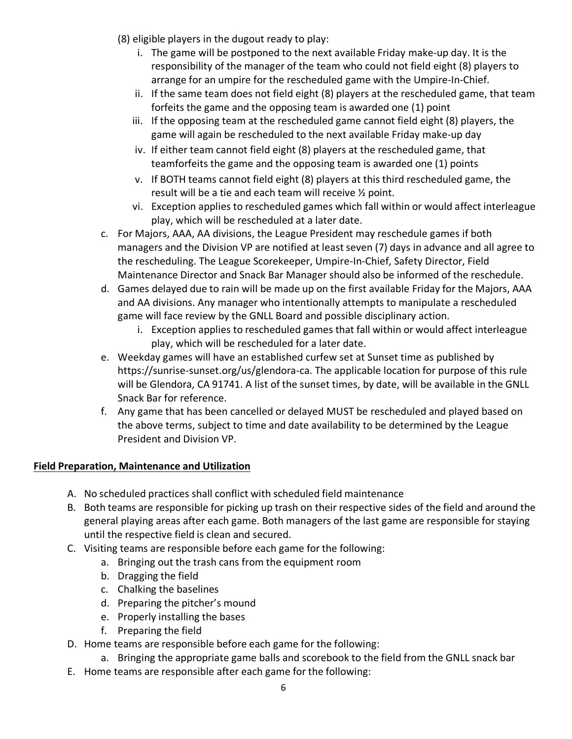- (8) eligible players in the dugout ready to play:
	- i. The game will be postponed to the next available Friday make-up day. It is the responsibility of the manager of the team who could not field eight (8) players to arrange for an umpire for the rescheduled game with the Umpire-In-Chief.
	- ii. If the same team does not field eight (8) players at the rescheduled game, that team forfeits the game and the opposing team is awarded one (1) point
	- iii. If the opposing team at the rescheduled game cannot field eight (8) players, the game will again be rescheduled to the next available Friday make-up day
	- iv. If either team cannot field eight (8) players at the rescheduled game, that teamforfeits the game and the opposing team is awarded one (1) points
	- v. If BOTH teams cannot field eight (8) players at this third rescheduled game, the result will be a tie and each team will receive ½ point.
	- vi. Exception applies to rescheduled games which fall within or would affect interleague play, which will be rescheduled at a later date.
- c. For Majors, AAA, AA divisions, the League President may reschedule games if both managers and the Division VP are notified at least seven (7) days in advance and all agree to the rescheduling. The League Scorekeeper, Umpire-In-Chief, Safety Director, Field Maintenance Director and Snack Bar Manager should also be informed of the reschedule.
- d. Games delayed due to rain will be made up on the first available Friday for the Majors, AAA and AA divisions. Any manager who intentionally attempts to manipulate a rescheduled game will face review by the GNLL Board and possible disciplinary action.
	- i. Exception applies to rescheduled games that fall within or would affect interleague play, which will be rescheduled for a later date.
- e. Weekday games will have an established curfew set at Sunset time as published by https://sunrise-sunset.org/us/glendora-ca. The applicable location for purpose of this rule will be Glendora, CA 91741. A list of the sunset times, by date, will be available in the GNLL Snack Bar for reference.
- f. Any game that has been cancelled or delayed MUST be rescheduled and played based on the above terms, subject to time and date availability to be determined by the League President and Division VP.

# **Field Preparation, Maintenance and Utilization**

- A. No scheduled practices shall conflict with scheduled field maintenance
- B. Both teams are responsible for picking up trash on their respective sides of the field and around the general playing areas after each game. Both managers of the last game are responsible for staying until the respective field is clean and secured.
- C. Visiting teams are responsible before each game for the following:
	- a. Bringing out the trash cans from the equipment room
	- b. Dragging the field
	- c. Chalking the baselines
	- d. Preparing the pitcher's mound
	- e. Properly installing the bases
	- f. Preparing the field
- D. Home teams are responsible before each game for the following:
	- a. Bringing the appropriate game balls and scorebook to the field from the GNLL snack bar
- E. Home teams are responsible after each game for the following: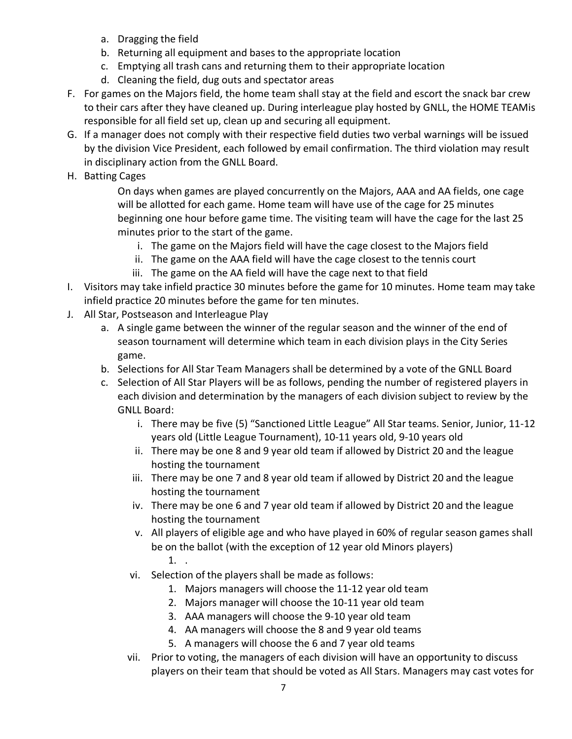- a. Dragging the field
- b. Returning all equipment and bases to the appropriate location
- c. Emptying all trash cans and returning them to their appropriate location
- d. Cleaning the field, dug outs and spectator areas
- F. For games on the Majors field, the home team shall stay at the field and escort the snack bar crew to their cars after they have cleaned up. During interleague play hosted by GNLL, the HOME TEAMis responsible for all field set up, clean up and securing all equipment.
- G. If a manager does not comply with their respective field duties two verbal warnings will be issued by the division Vice President, each followed by email confirmation. The third violation may result in disciplinary action from the GNLL Board.
- H. Batting Cages

On days when games are played concurrently on the Majors, AAA and AA fields, one cage will be allotted for each game. Home team will have use of the cage for 25 minutes beginning one hour before game time. The visiting team will have the cage for the last 25 minutes prior to the start of the game.

- i. The game on the Majors field will have the cage closest to the Majors field
- ii. The game on the AAA field will have the cage closest to the tennis court
- iii. The game on the AA field will have the cage next to that field
- I. Visitors may take infield practice 30 minutes before the game for 10 minutes. Home team may take infield practice 20 minutes before the game for ten minutes.
- J. All Star, Postseason and Interleague Play
	- a. A single game between the winner of the regular season and the winner of the end of season tournament will determine which team in each division plays in the City Series game.
	- b. Selections for All Star Team Managers shall be determined by a vote of the GNLL Board
	- c. Selection of All Star Players will be as follows, pending the number of registered players in each division and determination by the managers of each division subject to review by the GNLL Board:
		- i. There may be five (5) "Sanctioned Little League" All Star teams. Senior, Junior, 11-12 years old (Little League Tournament), 10-11 years old, 9-10 years old
		- ii. There may be one 8 and 9 year old team if allowed by District 20 and the league hosting the tournament
		- iii. There may be one 7 and 8 year old team if allowed by District 20 and the league hosting the tournament
		- iv. There may be one 6 and 7 year old team if allowed by District 20 and the league hosting the tournament
		- v. All players of eligible age and who have played in 60% of regular season games shall be on the ballot (with the exception of 12 year old Minors players) 1. .
		- vi. Selection of the players shall be made as follows:
			- 1. Majors managers will choose the 11-12 year old team
			- 2. Majors manager will choose the 10-11 year old team
			- 3. AAA managers will choose the 9-10 year old team
			- 4. AA managers will choose the 8 and 9 year old teams
			- 5. A managers will choose the 6 and 7 year old teams
		- vii. Prior to voting, the managers of each division will have an opportunity to discuss players on their team that should be voted as All Stars. Managers may cast votes for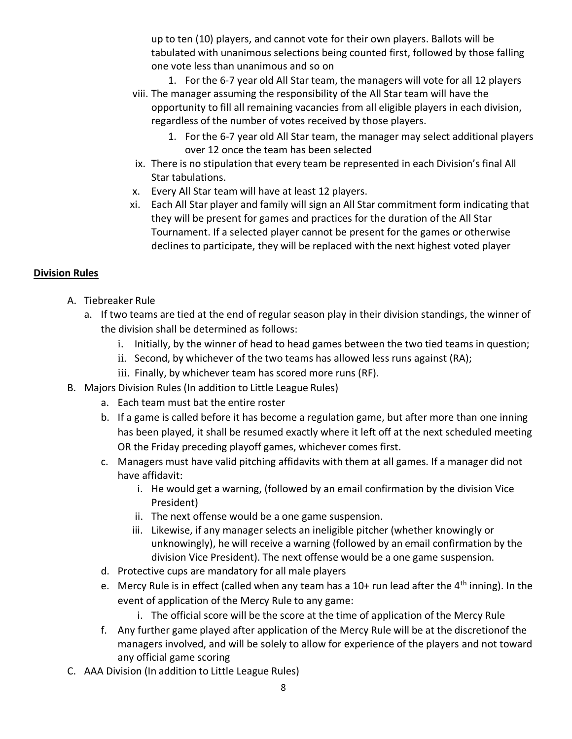up to ten (10) players, and cannot vote for their own players. Ballots will be tabulated with unanimous selections being counted first, followed by those falling one vote less than unanimous and so on

- 1. For the 6-7 year old All Star team, the managers will vote for all 12 players
- viii. The manager assuming the responsibility of the All Star team will have the opportunity to fill all remaining vacancies from all eligible players in each division, regardless of the number of votes received by those players.
	- 1. For the 6-7 year old All Star team, the manager may select additional players over 12 once the team has been selected
- ix. There is no stipulation that every team be represented in each Division's final All Star tabulations.
- x. Every All Star team will have at least 12 players.
- xi. Each All Star player and family will sign an All Star commitment form indicating that they will be present for games and practices for the duration of the All Star Tournament. If a selected player cannot be present for the games or otherwise declines to participate, they will be replaced with the next highest voted player

#### **Division Rules**

- A. Tiebreaker Rule
	- a. If two teams are tied at the end of regular season play in their division standings, the winner of the division shall be determined as follows:
		- i. Initially, by the winner of head to head games between the two tied teams in question;
		- ii. Second, by whichever of the two teams has allowed less runs against (RA);
		- iii. Finally, by whichever team has scored more runs (RF).
- B. Majors Division Rules (In addition to Little League Rules)
	- a. Each team must bat the entire roster
	- b. If a game is called before it has become a regulation game, but after more than one inning has been played, it shall be resumed exactly where it left off at the next scheduled meeting OR the Friday preceding playoff games, whichever comes first.
	- c. Managers must have valid pitching affidavits with them at all games. If a manager did not have affidavit:
		- i. He would get a warning, (followed by an email confirmation by the division Vice President)
		- ii. The next offense would be a one game suspension.
		- iii. Likewise, if any manager selects an ineligible pitcher (whether knowingly or unknowingly), he will receive a warning (followed by an email confirmation by the division Vice President). The next offense would be a one game suspension.
	- d. Protective cups are mandatory for all male players
	- e. Mercy Rule is in effect (called when any team has a  $10+$  run lead after the  $4<sup>th</sup>$  inning). In the event of application of the Mercy Rule to any game:
		- i. The official score will be the score at the time of application of the Mercy Rule
	- f. Any further game played after application of the Mercy Rule will be at the discretionof the managers involved, and will be solely to allow for experience of the players and not toward any official game scoring
- C. AAA Division (In addition to Little League Rules)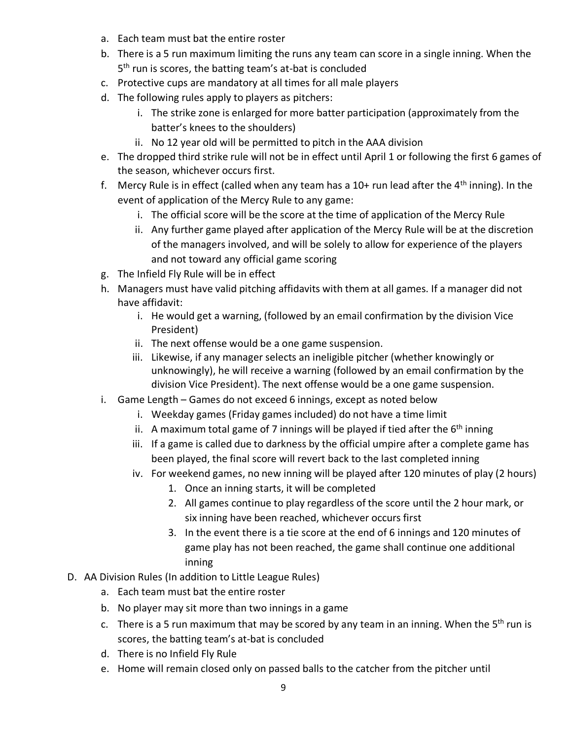- a. Each team must bat the entire roster
- b. There is a 5 run maximum limiting the runs any team can score in a single inning. When the 5<sup>th</sup> run is scores, the batting team's at-bat is concluded
- c. Protective cups are mandatory at all times for all male players
- d. The following rules apply to players as pitchers:
	- i. The strike zone is enlarged for more batter participation (approximately from the batter's knees to the shoulders)
	- ii. No 12 year old will be permitted to pitch in the AAA division
- e. The dropped third strike rule will not be in effect until April 1 or following the first 6 games of the season, whichever occurs first.
- f. Mercy Rule is in effect (called when any team has a  $10+$  run lead after the  $4<sup>th</sup>$  inning). In the event of application of the Mercy Rule to any game:
	- i. The official score will be the score at the time of application of the Mercy Rule
	- ii. Any further game played after application of the Mercy Rule will be at the discretion of the managers involved, and will be solely to allow for experience of the players and not toward any official game scoring
- g. The Infield Fly Rule will be in effect
- h. Managers must have valid pitching affidavits with them at all games. If a manager did not have affidavit:
	- i. He would get a warning, (followed by an email confirmation by the division Vice President)
	- ii. The next offense would be a one game suspension.
	- iii. Likewise, if any manager selects an ineligible pitcher (whether knowingly or unknowingly), he will receive a warning (followed by an email confirmation by the division Vice President). The next offense would be a one game suspension.
- i. Game Length Games do not exceed 6 innings, except as noted below
	- i. Weekday games (Friday games included) do not have a time limit
	- ii. A maximum total game of 7 innings will be played if tied after the 6<sup>th</sup> inning
	- iii. If a game is called due to darkness by the official umpire after a complete game has been played, the final score will revert back to the last completed inning
	- iv. For weekend games, no new inning will be played after 120 minutes of play (2 hours)
		- 1. Once an inning starts, it will be completed
		- 2. All games continue to play regardless of the score until the 2 hour mark, or six inning have been reached, whichever occurs first
		- 3. In the event there is a tie score at the end of 6 innings and 120 minutes of game play has not been reached, the game shall continue one additional inning
- D. AA Division Rules (In addition to Little League Rules)
	- a. Each team must bat the entire roster
	- b. No player may sit more than two innings in a game
	- c. There is a 5 run maximum that may be scored by any team in an inning. When the  $5<sup>th</sup>$  run is scores, the batting team's at-bat is concluded
	- d. There is no Infield Fly Rule
	- e. Home will remain closed only on passed balls to the catcher from the pitcher until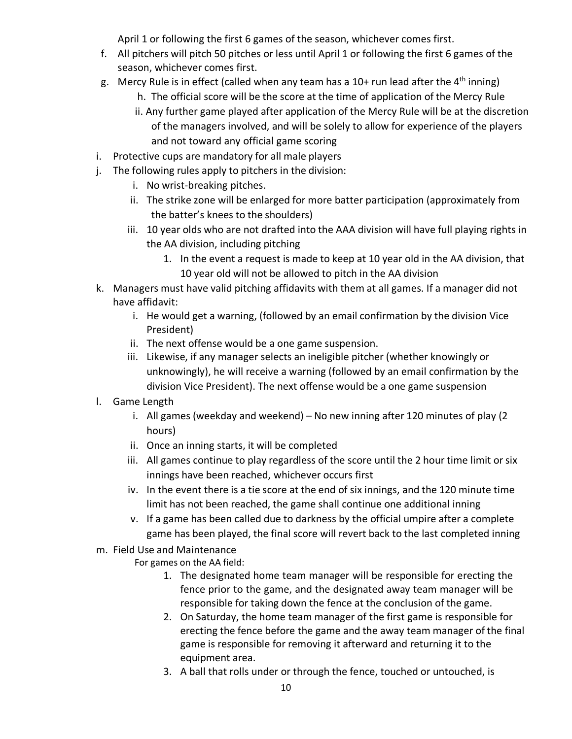April 1 or following the first 6 games of the season, whichever comes first.

- f. All pitchers will pitch 50 pitches or less until April 1 or following the first 6 games of the season, whichever comes first.
- g. Mercy Rule is in effect (called when any team has a 10+ run lead after the 4<sup>th</sup> inning)
	- h. The official score will be the score at the time of application of the Mercy Rule
	- ii. Any further game played after application of the Mercy Rule will be at the discretion of the managers involved, and will be solely to allow for experience of the players and not toward any official game scoring
- i. Protective cups are mandatory for all male players
- j. The following rules apply to pitchers in the division:
	- i. No wrist-breaking pitches.
	- ii. The strike zone will be enlarged for more batter participation (approximately from the batter's knees to the shoulders)
	- iii. 10 year olds who are not drafted into the AAA division will have full playing rights in the AA division, including pitching
		- 1. In the event a request is made to keep at 10 year old in the AA division, that 10 year old will not be allowed to pitch in the AA division
- k. Managers must have valid pitching affidavits with them at all games. If a manager did not have affidavit:
	- i. He would get a warning, (followed by an email confirmation by the division Vice President)
	- ii. The next offense would be a one game suspension.
	- iii. Likewise, if any manager selects an ineligible pitcher (whether knowingly or unknowingly), he will receive a warning (followed by an email confirmation by the division Vice President). The next offense would be a one game suspension
- l. Game Length
	- i. All games (weekday and weekend) No new inning after 120 minutes of play (2 hours)
	- ii. Once an inning starts, it will be completed
	- iii. All games continue to play regardless of the score until the 2 hour time limit or six innings have been reached, whichever occurs first
	- iv. In the event there is a tie score at the end of six innings, and the 120 minute time limit has not been reached, the game shall continue one additional inning
	- v. If a game has been called due to darkness by the official umpire after a complete game has been played, the final score will revert back to the last completed inning
- m. Field Use and Maintenance

For games on the AA field:

- 1. The designated home team manager will be responsible for erecting the fence prior to the game, and the designated away team manager will be responsible for taking down the fence at the conclusion of the game.
- 2. On Saturday, the home team manager of the first game is responsible for erecting the fence before the game and the away team manager of the final game is responsible for removing it afterward and returning it to the equipment area.
- 3. A ball that rolls under or through the fence, touched or untouched, is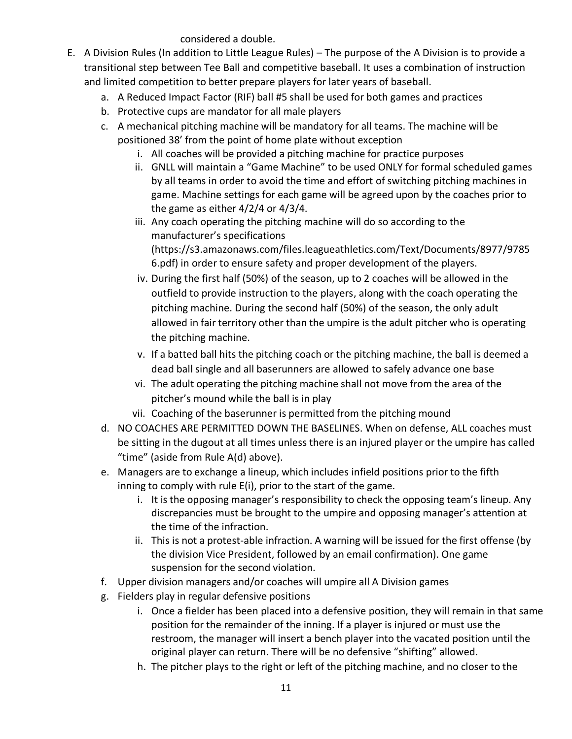considered a double.

- E. A Division Rules (In addition to Little League Rules) The purpose of the A Division is to provide a transitional step between Tee Ball and competitive baseball. It uses a combination of instruction and limited competition to better prepare players for later years of baseball.
	- a. A Reduced Impact Factor (RIF) ball #5 shall be used for both games and practices
	- b. Protective cups are mandator for all male players
	- c. A mechanical pitching machine will be mandatory for all teams. The machine will be positioned 38' from the point of home plate without exception
		- i. All coaches will be provided a pitching machine for practice purposes
		- ii. GNLL will maintain a "Game Machine" to be used ONLY for formal scheduled games by all teams in order to avoid the time and effort of switching pitching machines in game. Machine settings for each game will be agreed upon by the coaches prior to the game as either 4/2/4 or 4/3/4.
		- iii. Any coach operating the pitching machine will do so according to the manufacturer's specifications (https://s3.amazonaws.com/files.leagueathletics.com/Text/Documents/8977/9785 6.pdf) in order to ensure safety and proper development of the players.
		- iv. During the first half (50%) of the season, up to 2 coaches will be allowed in the outfield to provide instruction to the players, along with the coach operating the pitching machine. During the second half (50%) of the season, the only adult allowed in fair territory other than the umpire is the adult pitcher who is operating the pitching machine.
		- v. If a batted ball hits the pitching coach or the pitching machine, the ball is deemed a dead ball single and all baserunners are allowed to safely advance one base
		- vi. The adult operating the pitching machine shall not move from the area of the pitcher's mound while the ball is in play
		- vii. Coaching of the baserunner is permitted from the pitching mound
	- d. NO COACHES ARE PERMITTED DOWN THE BASELINES. When on defense, ALL coaches must be sitting in the dugout at all times unless there is an injured player or the umpire has called "time" (aside from Rule A(d) above).
	- e. Managers are to exchange a lineup, which includes infield positions prior to the fifth inning to comply with rule E(i), prior to the start of the game.
		- i. It is the opposing manager's responsibility to check the opposing team's lineup. Any discrepancies must be brought to the umpire and opposing manager's attention at the time of the infraction.
		- ii. This is not a protest-able infraction. A warning will be issued for the first offense (by the division Vice President, followed by an email confirmation). One game suspension for the second violation.
	- f. Upper division managers and/or coaches will umpire all A Division games
	- g. Fielders play in regular defensive positions
		- i. Once a fielder has been placed into a defensive position, they will remain in that same position for the remainder of the inning. If a player is injured or must use the restroom, the manager will insert a bench player into the vacated position until the original player can return. There will be no defensive "shifting" allowed.
		- h. The pitcher plays to the right or left of the pitching machine, and no closer to the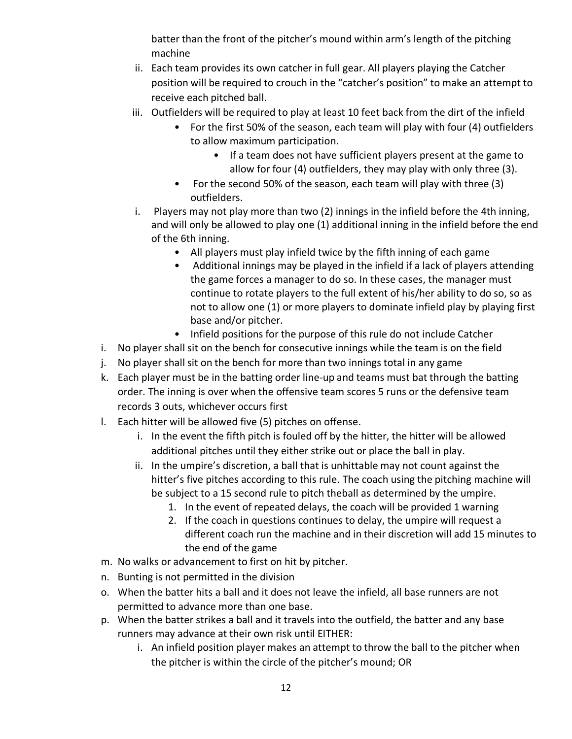batter than the front of the pitcher's mound within arm's length of the pitching machine

- ii. Each team provides its own catcher in full gear. All players playing the Catcher position will be required to crouch in the "catcher's position" to make an attempt to receive each pitched ball.
- iii. Outfielders will be required to play at least 10 feet back from the dirt of the infield
	- For the first 50% of the season, each team will play with four (4) outfielders to allow maximum participation.
		- If a team does not have sufficient players present at the game to allow for four (4) outfielders, they may play with only three (3).
	- For the second 50% of the season, each team will play with three (3) outfielders.
- i. Players may not play more than two (2) innings in the infield before the 4th inning, and will only be allowed to play one (1) additional inning in the infield before the end of the 6th inning.
	- All players must play infield twice by the fifth inning of each game
	- Additional innings may be played in the infield if a lack of players attending the game forces a manager to do so. In these cases, the manager must continue to rotate players to the full extent of his/her ability to do so, so as not to allow one (1) or more players to dominate infield play by playing first base and/or pitcher.
	- Infield positions for the purpose of this rule do not include Catcher
- i. No player shall sit on the bench for consecutive innings while the team is on the field
- j. No player shall sit on the bench for more than two innings total in any game
- k. Each player must be in the batting order line-up and teams must bat through the batting order. The inning is over when the offensive team scores 5 runs or the defensive team records 3 outs, whichever occurs first
- l. Each hitter will be allowed five (5) pitches on offense.
	- i. In the event the fifth pitch is fouled off by the hitter, the hitter will be allowed additional pitches until they either strike out or place the ball in play.
	- ii. In the umpire's discretion, a ball that is unhittable may not count against the hitter's five pitches according to this rule. The coach using the pitching machine will be subject to a 15 second rule to pitch theball as determined by the umpire.
		- 1. In the event of repeated delays, the coach will be provided 1 warning
		- 2. If the coach in questions continues to delay, the umpire will request a different coach run the machine and in their discretion will add 15 minutes to the end of the game
- m. No walks or advancement to first on hit by pitcher.
- n. Bunting is not permitted in the division
- o. When the batter hits a ball and it does not leave the infield, all base runners are not permitted to advance more than one base.
- p. When the batter strikes a ball and it travels into the outfield, the batter and any base runners may advance at their own risk until EITHER:
	- i. An infield position player makes an attempt to throw the ball to the pitcher when the pitcher is within the circle of the pitcher's mound; OR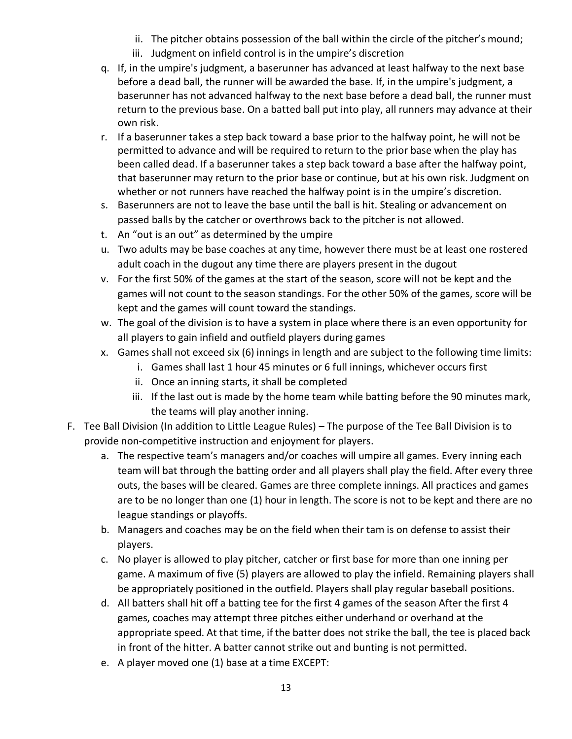- ii. The pitcher obtains possession of the ball within the circle of the pitcher's mound;
- iii. Judgment on infield control is in the umpire's discretion
- q. If, in the umpire's judgment, a baserunner has advanced at least halfway to the next base before a dead ball, the runner will be awarded the base. If, in the umpire's judgment, a baserunner has not advanced halfway to the next base before a dead ball, the runner must return to the previous base. On a batted ball put into play, all runners may advance at their own risk.
- r. If a baserunner takes a step back toward a base prior to the halfway point, he will not be permitted to advance and will be required to return to the prior base when the play has been called dead. If a baserunner takes a step back toward a base after the halfway point, that baserunner may return to the prior base or continue, but at his own risk. Judgment on whether or not runners have reached the halfway point is in the umpire's discretion.
- s. Baserunners are not to leave the base until the ball is hit. Stealing or advancement on passed balls by the catcher or overthrows back to the pitcher is not allowed.
- t. An "out is an out" as determined by the umpire
- u. Two adults may be base coaches at any time, however there must be at least one rostered adult coach in the dugout any time there are players present in the dugout
- v. For the first 50% of the games at the start of the season, score will not be kept and the games will not count to the season standings. For the other 50% of the games, score will be kept and the games will count toward the standings.
- w. The goal of the division is to have a system in place where there is an even opportunity for all players to gain infield and outfield players during games
- x. Games shall not exceed six (6) innings in length and are subject to the following time limits:
	- i. Games shall last 1 hour 45 minutes or 6 full innings, whichever occurs first
	- ii. Once an inning starts, it shall be completed
	- iii. If the last out is made by the home team while batting before the 90 minutes mark, the teams will play another inning.
- F. Tee Ball Division (In addition to Little League Rules) The purpose of the Tee Ball Division is to provide non-competitive instruction and enjoyment for players.
	- a. The respective team's managers and/or coaches will umpire all games. Every inning each team will bat through the batting order and all players shall play the field. After every three outs, the bases will be cleared. Games are three complete innings. All practices and games are to be no longer than one (1) hour in length. The score is not to be kept and there are no league standings or playoffs.
	- b. Managers and coaches may be on the field when their tam is on defense to assist their players.
	- c. No player is allowed to play pitcher, catcher or first base for more than one inning per game. A maximum of five (5) players are allowed to play the infield. Remaining players shall be appropriately positioned in the outfield. Players shall play regular baseball positions.
	- d. All batters shall hit off a batting tee for the first 4 games of the season After the first 4 games, coaches may attempt three pitches either underhand or overhand at the appropriate speed. At that time, if the batter does not strike the ball, the tee is placed back in front of the hitter. A batter cannot strike out and bunting is not permitted.
	- e. A player moved one (1) base at a time EXCEPT: